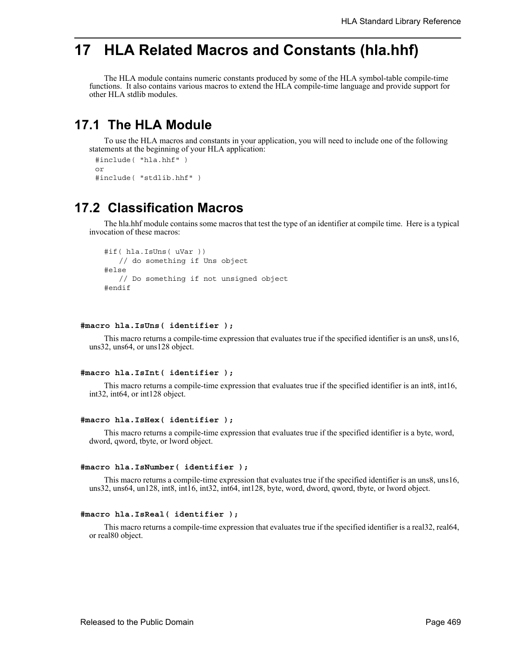# **17 HLA Related Macros and Constants (hla.hhf)**

The HLA module contains numeric constants produced by some of the HLA symbol-table compile-time functions. It also contains various macros to extend the HLA compile-time language and provide support for other HLA stdlib modules.

## **17.1 The HLA Module**

To use the HLA macros and constants in your application, you will need to include one of the following statements at the beginning of your HLA application:

```
#include( "hla.hhf" )
or
#include( "stdlib.hhf" )
```
## **17.2 Classification Macros**

The hla.hhf module contains some macros that test the type of an identifier at compile time. Here is a typical invocation of these macros:

```
#if( hla.IsUns( uVar ))
  // do something if Uns object
#else
  // Do something if not unsigned object
#endif
```
#### **#macro hla.IsUns( identifier );**

This macro returns a compile-time expression that evaluates true if the specified identifier is an uns8, uns16, uns32, uns64, or uns128 object.

#### **#macro hla.IsInt( identifier );**

This macro returns a compile-time expression that evaluates true if the specified identifier is an int8, int16, int32, int64, or int128 object.

#### **#macro hla.IsHex( identifier );**

This macro returns a compile-time expression that evaluates true if the specified identifier is a byte, word, dword, qword, tbyte, or lword object.

#### **#macro hla.IsNumber( identifier );**

This macro returns a compile-time expression that evaluates true if the specified identifier is an uns8, uns16, uns32, uns64, un128, int8, int16, int32, int64, int128, byte, word, dword, qword, tbyte, or lword object.

#### **#macro hla.IsReal( identifier );**

This macro returns a compile-time expression that evaluates true if the specified identifier is a real32, real64, or real80 object.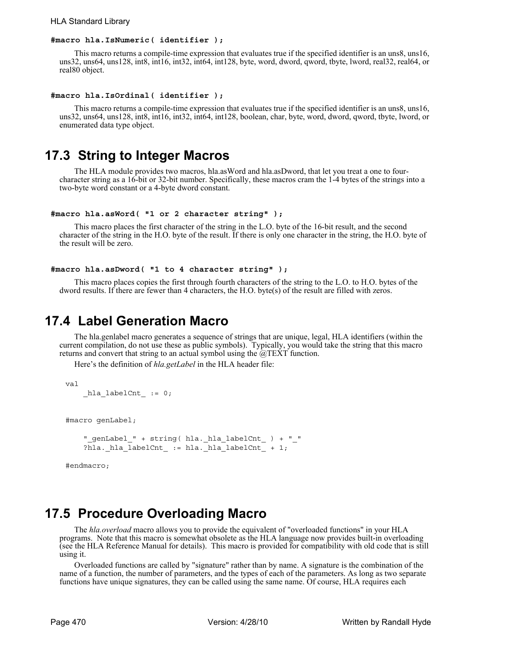#### HLA Standard Library

#### **#macro hla.IsNumeric( identifier );**

This macro returns a compile-time expression that evaluates true if the specified identifier is an uns8, uns16, uns32, uns64, uns128, int8, int16, int32, int64, int128, byte, word, dword, qword, tbyte, lword, real32, real64, or real80 object.

#### **#macro hla.IsOrdinal( identifier );**

This macro returns a compile-time expression that evaluates true if the specified identifier is an uns8, uns16, uns32, uns64, uns128, int8, int16, int32, int64, int128, boolean, char, byte, word, dword, qword, tbyte, lword, or enumerated data type object.

### **17.3 String to Integer Macros**

The HLA module provides two macros, hla.asWord and hla.asDword, that let you treat a one to fourcharacter string as a 16-bit or 32-bit number. Specifically, these macros cram the 1-4 bytes of the strings into a two-byte word constant or a 4-byte dword constant.

#### **#macro hla.asWord( "1 or 2 character string" );**

This macro places the first character of the string in the L.O. byte of the 16-bit result, and the second character of the string in the H.O. byte of the result. If there is only one character in the string, the H.O. byte of the result will be zero.

#### **#macro hla.asDword( "1 to 4 character string" );**

This macro places copies the first through fourth characters of the string to the L.O. to H.O. bytes of the dword results. If there are fewer than 4 characters, the H.O. byte(s) of the result are filled with zeros.

### **17.4 Label Generation Macro**

The hla.genlabel macro generates a sequence of strings that are unique, legal, HLA identifiers (within the current compilation, do not use these as public symbols). Typically, you would take the string that this macro returns and convert that string to an actual symbol using the  $\hat{\omega}$ TEXT function.

Here's the definition of *hla.getLabel* in the HLA header file:

```
val
```

```
hla labelCnt := 0;
```
#macro genLabel;

```
 "_genLabel_" + string( hla._hla_labelCnt_ ) + "_"
?hla. hla labelCnt := hla. hla labelCnt + 1;
```
#endmacro;

### **17.5 Procedure Overloading Macro**

The *hla.overload* macro allows you to provide the equivalent of "overloaded functions" in your HLA programs. Note that this macro is somewhat obsolete as the HLA language now provides built-in overloading (see the HLA Reference Manual for details). This macro is provided for compatibility with old code that is still using it.

Overloaded functions are called by "signature" rather than by name. A signature is the combination of the name of a function, the number of parameters, and the types of each of the parameters. As long as two separate functions have unique signatures, they can be called using the same name. Of course, HLA requires each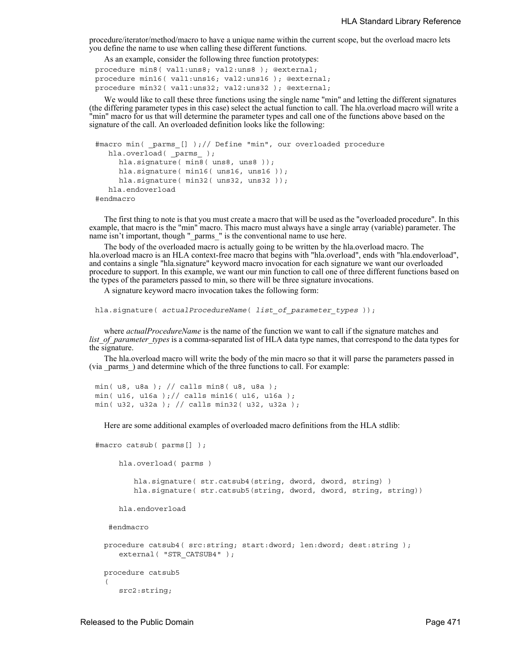procedure/iterator/method/macro to have a unique name within the current scope, but the overload macro lets you define the name to use when calling these different functions.

As an example, consider the following three function prototypes:

```
procedure min8( val1:uns8; val2:uns8 ); @external;
procedure min16( val1:uns16; val2:uns16 ); @external;
procedure min32( val1:uns32; val2:uns32 ); @external;
```
We would like to call these three functions using the single name "min" and letting the different signatures (the differing parameter types in this case) select the actual function to call. The hla.overload macro will write a "min" macro for us that will determine the parameter types and call one of the functions above based on the signature of the call. An overloaded definition looks like the following:

```
#macro min( _parms_[] );// Define "min", our overloaded procedure
  hla.overload( _parms_ );
     hla.signature( min8( uns8, uns8));
     hla.signature( min16( uns16, uns16));
     hla.signature( min32( uns32, uns32 ));
   hla.endoverload
#endmacro
```
The first thing to note is that you must create a macro that will be used as the "overloaded procedure". In this example, that macro is the "min" macro. This macro must always have a single array (variable) parameter. The name isn't important, though "\_parms\_" is the conventional name to use here.

The body of the overloaded macro is actually going to be written by the hla.overload macro. The hla.overload macro is an HLA context-free macro that begins with "hla.overload", ends with "hla.endoverload", and contains a single "hla.signature" keyword macro invocation for each signature we want our overloaded procedure to support. In this example, we want our min function to call one of three different functions based on the types of the parameters passed to min, so there will be three signature invocations.

A signature keyword macro invocation takes the following form:

```
hla.signature( actualProcedureName( list_of_parameter_types ));
```
where *actualProcedureName* is the name of the function we want to call if the signature matches and *list of parameter types* is a comma-separated list of HLA data type names, that correspond to the data types for the signature.

The hla.overload macro will write the body of the min macro so that it will parse the parameters passed in (via \_parms\_) and determine which of the three functions to call. For example:

```
min( u8, u8a ); // calls min8( u8, u8a );
min( u16, u16a ); // calls min16( u16, u16a );
min( u32, u32a ); // calls min32( u32, u32a );
```
Here are some additional examples of overloaded macro definitions from the HLA stdlib:

```
#macro catsub( parms[] );
     hla.overload( parms )
        hla.signature( str.catsub4(string, dword, dword, string) )
        hla.signature( str.catsub5(string, dword, dword, string, string))
     hla.endoverload
    #endmacro
 procedure catsub4( src:string; start:dword; len:dword; dest:string );
     external( "STR CATSUB4" );
 procedure catsub5
  ( 
     src2:string;
```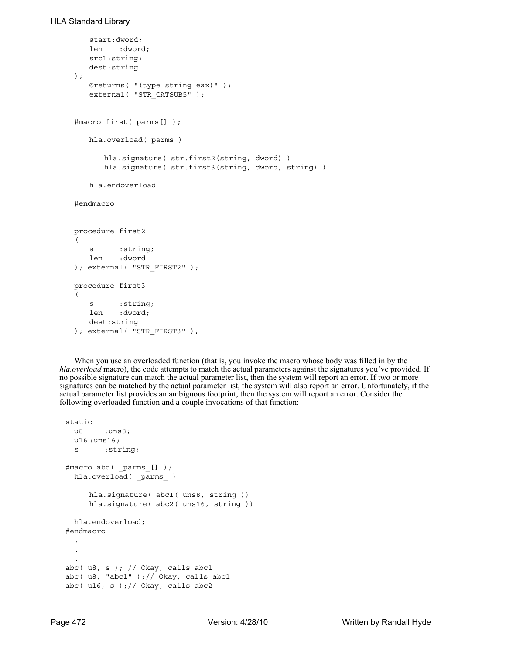```
start:dword; 
   len :dword; 
   src1:string; 
   dest:string 
); 
   @returns( "(type string eax)" ); 
   external( "STR CATSUB5" );
#macro first( parms[] );
   hla.overload( parms )
      hla.signature( str.first2(string, dword) )
      hla.signature( str.first3(string, dword, string) )
   hla.endoverload
#endmacro
procedure first2
\left(s : string;
   len :dword
); external( "STR_FIRST2" );
procedure first3
(
   s :string;
   len :dword;
   dest:string
); external( "STR_FIRST3" );
```
When you use an overloaded function (that is, you invoke the macro whose body was filled in by the *hla.overload* macro), the code attempts to match the actual parameters against the signatures you've provided. If no possible signature can match the actual parameter list, then the system will report an error. If two or more signatures can be matched by the actual parameter list, the system will also report an error. Unfortunately, if the actual parameter list provides an ambiguous footprint, then the system will report an error. Consider the following overloaded function and a couple invocations of that function:

```
static
 u8 : uns8;
 u16 :uns16;
  s :string;
#macro abc( _parms_[] );
 hla.overload( _parms_ )
     hla.signature( abc1( uns8, string ))
     hla.signature( abc2( uns16, string ))
 hla.endoverload;
#endmacro
  .
  .
  .
abc( u8, s ); // Okay, calls abc1
abc( u8, "abc1" );// Okay, calls abc1
abc(ul6, s);// Okay, calls abc2
```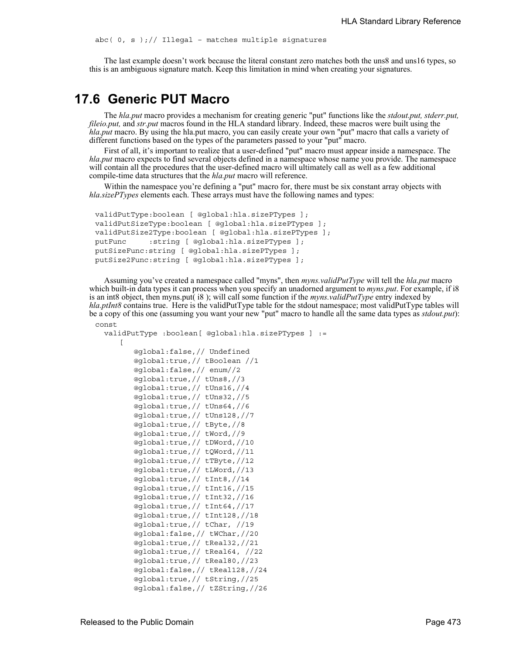$abc( 0, s )$ ;// Illegal - matches multiple signatures

The last example doesn't work because the literal constant zero matches both the uns8 and uns16 types, so this is an ambiguous signature match. Keep this limitation in mind when creating your signatures.

### **17.6 Generic PUT Macro**

The *hla.put* macro provides a mechanism for creating generic "put" functions like the *stdout.put, stderr.put, fileio.put,* and *str.put* macros found in the HLA standard library. Indeed, these macros were built using the *hla.put* macro. By using the hla.put macro, you can easily create your own "put" macro that calls a variety of different functions based on the types of the parameters passed to your "put" macro.

First of all, it's important to realize that a user-defined "put" macro must appear inside a namespace. The *hla.put* macro expects to find several objects defined in a namespace whose name you provide. The namespace will contain all the procedures that the user-defined macro will ultimately call as well as a few additional compile-time data structures that the *hla.put* macro will reference.

Within the namespace you're defining a "put" macro for, there must be six constant array objects with *hla.sizePTypes* elements each. These arrays must have the following names and types:

```
validPutType:boolean [ @global:hla.sizePTypes ];
validPutSizeType:boolean [ @global:hla.sizePTypes ];
validPutSize2Type:boolean [ @global:hla.sizePTypes ];
putFunc :string [ @global:hla.sizePTypes ];
putSizeFunc:string [ @global:hla.sizePTypes ];
putSize2Func:string [ @global:hla.sizePTypes ];
```
Assuming you've created a namespace called "myns", then *myns.validPutType* will tell the *hla.put* macro which built-in data types it can process when you specify an unadorned argument to *myns.put*. For example, if i8 is an int8 object, then myns.put( i8 ); will call some function if the *myns.validPutType* entry indexed by *hla.ptInt8* contains true. Here is the validPutType table for the stdout namespace; most validPutType tables will be a copy of this one (assuming you want your new "put" macro to handle all the same data types as *stdout.put*): const

```
validPutType :boolean[ @global:hla.sizePTypes ] :=
   \lceil@global:false,// Undefined
       @global:true,// tBoolean //1
       @global:false,// enum//2
       @global:true,// tUns8,//3
       @global:true,// tUns16,//4
       @global:true,// tUns32,//5
       @global:true,// tUns64,//6
       @global:true,// tUns128,//7
       @global:true,// tByte,//8
       @global:true,// tWord,//9
       @global:true,// tDWord,//10
       @global:true,// tQWord,//11
       @global:true,// tTByte,//12
       @global:true,// tLWord,//13
       @global:true,// tInt8,//14
       @global:true,// tInt16,//15
       @global:true,// tInt32,//16
       @global:true,// tInt64,//17
       @global:true,// tInt128,//18
       @global:true,// tChar, //19
       @global:false,// tWChar,//20
       @global:true,// tReal32,//21
       @global:true,// tReal64, //22
       @global:true,// tReal80,//23
       @global:false,// tReal128,//24
       @global:true,// tString,//25
       @global:false,// tZString,//26
```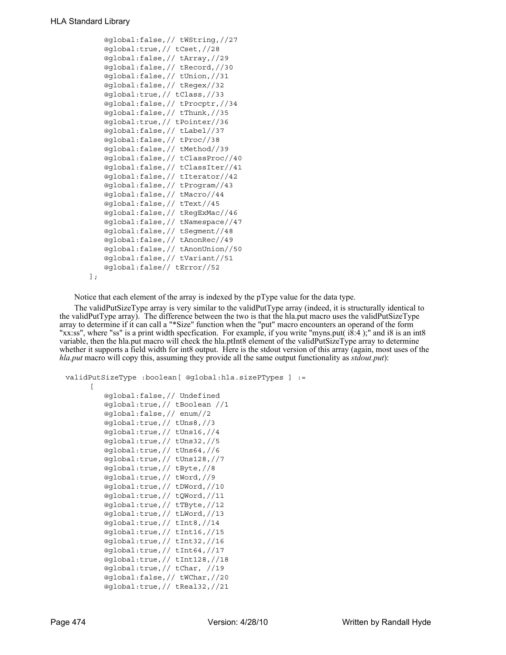```
@global:false,// tWString,//27
   @global:true,// tCset,//28
   @global:false,// tArray,//29
   @global:false,// tRecord,//30
   @global:false,// tUnion,//31
   @global:false,// tRegex//32
   @global:true,// tClass,//33
   @global:false,// tProcptr,//34
   @global:false,// tThunk,//35
   @global:true,// tPointer//36
   @global:false,// tLabel//37
   @global:false,// tProc//38
   @global:false,// tMethod//39
   @global:false,// tClassProc//40
   @global:false,// tClassIter//41
   @global:false,// tIterator//42
   @global:false,// tProgram//43
   @global:false,// tMacro//44
   @global:false,// tText//45
   @global:false,// tRegExMac//46
   @global:false,// tNamespace//47
   @global:false,// tSegment//48
   @global:false,// tAnonRec//49
   @global:false,// tAnonUnion//50
   @global:false,// tVariant//51
   @global:false// tError//52
\vert;
```
Notice that each element of the array is indexed by the pType value for the data type.

The validPutSizeType array is very similar to the validPutType array (indeed, it is structurally identical to the validPutType array). The difference between the two is that the hla.put macro uses the validPutSizeType array to determine if it can call a "\*Size" function when the "put" macro encounters an operand of the form "xx:ss", where "ss" is a print width specfication. For example, if you write "myns.put( i8:4 );" and i8 is an int8 variable, then the hla.put macro will check the hla.ptInt8 element of the validPutSizeType array to determine whether it supports a field width for int8 output. Here is the stdout version of this array (again, most uses of the *hla.put* macro will copy this, assuming they provide all the same output functionality as *stdout.put*):

```
validPutSizeType :boolean[ @global:hla.sizePTypes ] :=
     \Gamma@global:false,// Undefined
         @global:true,// tBoolean //1
         @global:false,// enum//2
         @global:true,// tUns8,//3
         @global:true,// tUns16,//4
         @global:true,// tUns32,//5
         @global:true,// tUns64,//6
         @global:true,// tUns128,//7
         @global:true,// tByte,//8
         @global:true,// tWord,//9
         @global:true,// tDWord,//10
         @global:true,// tQWord,//11
         @global:true,// tTByte,//12
         @global:true,// tLWord,//13
         @global:true,// tInt8,//14
         @global:true,// tInt16,//15
         @global:true,// tInt32,//16
         @global:true,// tInt64,//17
         @global:true,// tInt128,//18
         @global:true,// tChar, //19
         @global:false,// tWChar,//20
         @global:true,// tReal32,//21
```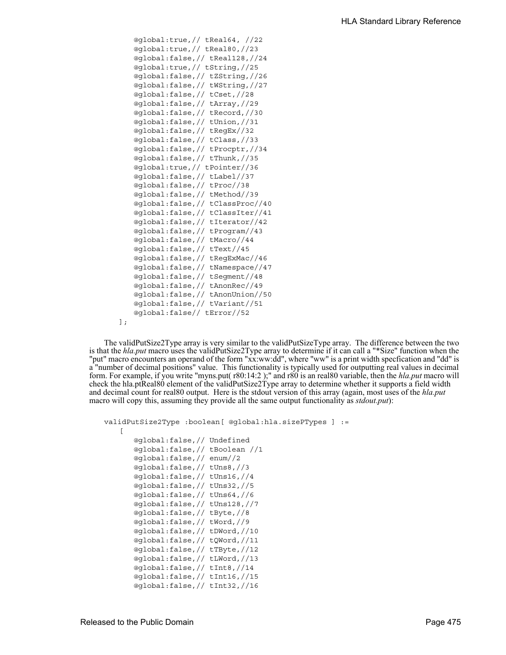```
@global:true,// tReal64, //22
   @global:true,// tReal80,//23
   @global:false,// tReal128,//24
   @global:true,// tString,//25
   @global:false,// tZString,//26
   @global:false,// tWString,//27
   @global:false,// tCset,//28
   @global:false,// tArray,//29
   @global:false,// tRecord,//30
   @global:false,// tUnion,//31
   @global:false,// tRegEx//32
   @global:false,// tClass,//33
   @global:false,// tProcptr,//34
   @global:false,// tThunk,//35
   @global:true,// tPointer//36
   @global:false,// tLabel//37
   @global:false,// tProc//38
   @global:false,// tMethod//39
   @global:false,// tClassProc//40
   @global:false,// tClassIter//41
   @global:false,// tIterator//42
   @global:false,// tProgram//43
   @global:false,// tMacro//44
   @global:false,// tText//45
   @global:false,// tRegExMac//46
   @global:false,// tNamespace//47
   @global:false,// tSegment//48
   @global:false,// tAnonRec//49
   @global:false,// tAnonUnion//50
   @global:false,// tVariant//51
   @global:false// tError//52
\mathbf{I};
```
The validPutSize2Type array is very similar to the validPutSizeType array. The difference between the two is that the *hla.put* macro uses the validPutSize2Type array to determine if it can call a "\*Size" function when the "put" macro encounters an operand of the form "xx:ww:dd", where "ww" is a print width specfication and "dd" is a "number of decimal positions" value. This functionality is typically used for outputting real values in decimal form. For example, if you write "myns.put( r80:14:2 );" and r80 is an real80 variable, then the *hla.put* macro will check the hla.ptReal80 element of the validPutSize2Type array to determine whether it supports a field width and decimal count for real80 output. Here is the stdout version of this array (again, most uses of the *hla.put* macro will copy this, assuming they provide all the same output functionality as *stdout.put*):

```
validPutSize2Type :boolean[ @global:hla.sizePTypes ] :=
   \lceil@global:false,// Undefined
      @global:false,// tBoolean //1
      @global:false,// enum//2
      @global:false,// tUns8,//3
      @global:false,// tUns16,//4
      @global:false,// tUns32,//5
      @global:false,// tUns64,//6
      @global:false,// tUns128,//7
      @global:false,// tByte,//8
      @global:false,// tWord,//9
      @global:false,// tDWord,//10
      @global:false,// tQWord,//11
      @global:false,// tTByte,//12
      @global:false,// tLWord,//13
      @global:false,// tInt8,//14
      @global:false,// tInt16,//15
```
@global:false,// tInt32,//16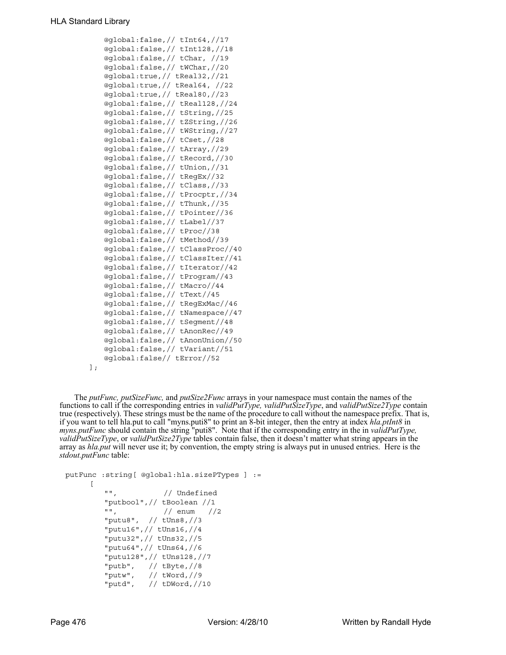```
@global:false,// tInt64,//17
   @global:false,// tInt128,//18
   @global:false,// tChar, //19
   @global:false,// tWChar,//20
   @global:true,// tReal32,//21
   @global:true,// tReal64, //22
   @global:true,// tReal80,//23
   @global:false,// tReal128,//24
   @global:false,// tString,//25
   @global:false,// tZString,//26
   @global:false,// tWString,//27
   @global:false,// tCset,//28
   @global:false,// tArray,//29
   @global:false,// tRecord,//30
   @global:false,// tUnion,//31
   @global:false,// tRegEx//32
   @global:false,// tClass,//33
   @global:false,// tProcptr,//34
   @global:false,// tThunk,//35
   @global:false,// tPointer//36
   @global:false,// tLabel//37
   @global:false,// tProc//38
   @global:false,// tMethod//39
   @global:false,// tClassProc//40
   @global:false,// tClassIter//41
   @global:false,// tIterator//42
   @global:false,// tProgram//43
   @global:false,// tMacro//44
   @global:false,// tText//45
   @global:false,// tRegExMac//46
   @global:false,// tNamespace//47
   @global:false,// tSegment//48
   @global:false,// tAnonRec//49
   @global:false,// tAnonUnion//50
   @global:false,// tVariant//51
   @global:false// tError//52
\vert;
```
The *putFunc, putSizeFunc,* and *putSize2Func* arrays in your namespace must contain the names of the functions to call if the corresponding entries in *validPutType, validPutSizeType*, and *validPutSize2Type* contain true (respectively). These strings must be the name of the procedure to call without the namespace prefix. That is, if you want to tell hla.put to call "myns.puti8" to print an 8-bit integer, then the entry at index *hla.ptInt8* in *myns.putFunc* should contain the string "puti8". Note that if the corresponding entry in the in *validPutType, validPutSizeType*, or *validPutSize2Type* tables contain false, then it doesn't matter what string appears in the array as *hla.put* will never use it; by convention, the empty string is always put in unused entries. Here is the *stdout.putFunc* table:

```
putFunc :string[ @global:hla.sizePTypes ] :=
     \lceil"", // Undefined
        "putbool",// tBoolean //1
        "", // enum //2
        "putu8", // tUns8,//3
        "putu16",// tUns16,//4
        "putu32",// tUns32,//5
        "putu64",// tUns64,//6
        "putu128",// tUns128,//7
        "putb", // tByte,//8
        "putw", // tWord,//9
        "putd", // tDWord,//10
```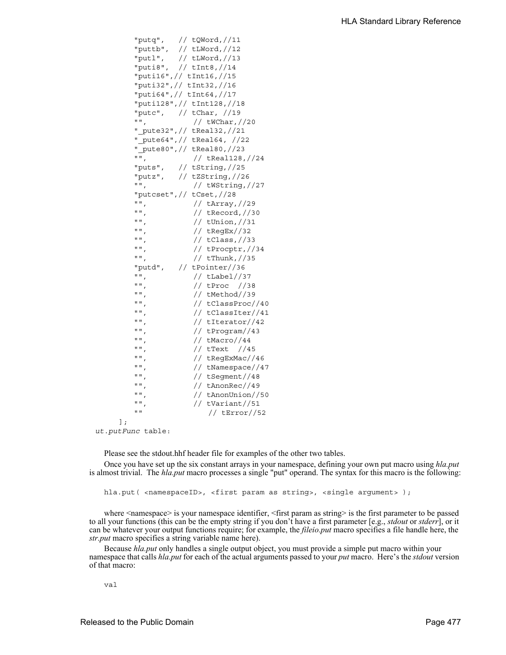```
"putq", // tQWord,//11
   "puttb", // tLWord,//12
   "putl", // tLWord,//13
   "puti8", // tInt8,//14
   "puti16",// tInt16,//15
   "puti32",// tInt32,//16
   "puti64",// tInt64,//17
   "puti128",// tInt128,//18
   "putc", // tChar, //19
   "", // tWChar,//20
   "_pute32",// tReal32,//21
   "_pute64",// tReal64, //22
   "_pute80",// tReal80,//23<br>"". // tReal128,
               // tReal128,//24
   "puts", // tString,//25
   "putz", // tZString,//26
   "", // tWString,//27
   "putcset",// tCset,//28
   "", // tArray,//29
   "", // tRecord,//30
   "", // tUnion,//31
   "", // tRegEx//32
   " " ", \frac{1}{2} // tClass, \frac{1}{33}"", // tProcptr,//34
   "", // tThunk,//35
   "putd", // tPointer//36<br>"" // tLabel//3
   "", // tLabel//37<br>"", // tProc //3
   "", // tProc //38<br>"" // tMethod//39
                // tMethod//39
   "", // tClassProc//40<br>"". // tClassIter//41
                // tClassIter//41
   "", // tIterator//42<br>"" // tProgram//43
                 // tProgram//43
   "", // tMacro//44
   "", // tText //45
   "", // tRegExMac//46
   "", // tNamespace//47<br>"". // tSeqment//48
   \begin{array}{cc} \text{""}, & // tSegment // 48 \\ \text{""} & // tAnonRec // 49 \end{array}\begin{array}{cc} \texttt{""}, & // tAnonRec // 49 \\ \texttt{""}. & // tAnonUnion // \end{array}// tAnonUnion//50
   "", // tVariant//51
   "" // tError//52
\mathbf{1};
```
*ut.putFunc* table:

Please see the stdout.hhf header file for examples of the other two tables.

Once you have set up the six constant arrays in your namespace, defining your own put macro using *hla.put* is almost trivial. The *hla.put* macro processes a single "put" operand. The syntax for this macro is the following:

hla.put( <namespaceID>, <first param as string>, <single argument> );

where  $\leq$ namespace> is your namespace identifier,  $\leq$ first param as string> is the first parameter to be passed to all your functions (this can be the empty string if you don't have a first parameter [e.g., *stdout* or *stderr*], or it can be whatever your output functions require; for example, the *fileio.put* macro specifies a file handle here, the *str.put* macro specifies a string variable name here).

Because *hla.put* only handles a single output object, you must provide a simple put macro within your namespace that calls *hla.put* for each of the actual arguments passed to your *put* macro. Here's the *stdout* version of that macro:

val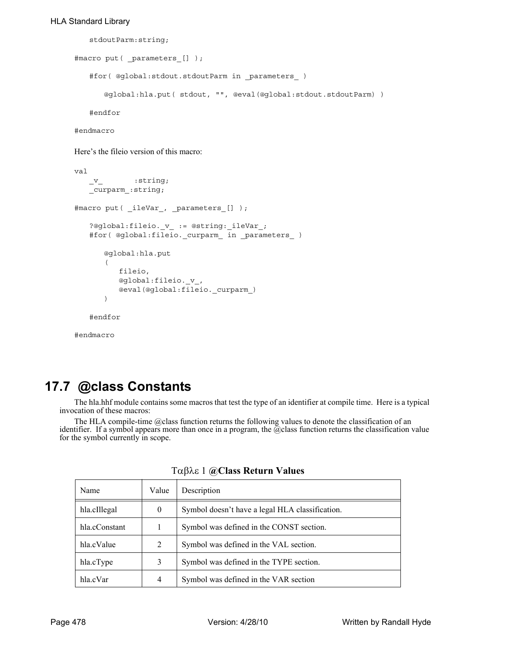```
stdoutParm:string;
```

```
#macro put( _parameters_[] );
   #for( @global:stdout.stdoutParm in _parameters_ )
      @global:hla.put( stdout, "", @eval(@global:stdout.stdoutParm) )
   #endfor
```
#endmacro

Here's the fileio version of this macro:

```
val
   _v \frac{v}{v} : string;
   _curparm_:string;
#macro put( _ileVar_, _parameters_[] ); 
   ?@global:fileio._v_ := @string:_ileVar_;
   #for( @global:fileio._curparm_ in _parameters_ )
       @global:hla.put
       ( 
          fileio, 
          @global:fileio._v_, 
          @eval(@global:fileio._curparm_) 
       )
   #endfor
```
#endmacro

# **17.7 @class Constants**

The hla.hhf module contains some macros that test the type of an identifier at compile time. Here is a typical invocation of these macros:

The HLA compile-time @class function returns the following values to denote the classification of an identifier. If a symbol appears more than once in a program, the @class function returns the classification value for the symbol currently in scope.

| Name          | Value          | Description                                     |  |
|---------------|----------------|-------------------------------------------------|--|
| hla.cIllegal  | $\overline{0}$ | Symbol doesn't have a legal HLA classification. |  |
| hla.cConstant |                | Symbol was defined in the CONST section.        |  |
| hla.cValue    | 2              | Symbol was defined in the VAL section.          |  |
| hla.cType     | 3              | Symbol was defined in the TYPE section.         |  |
| hla.cVar      | 4              | Symbol was defined in the VAR section           |  |

Tαβλε 1 **@Class Return Values**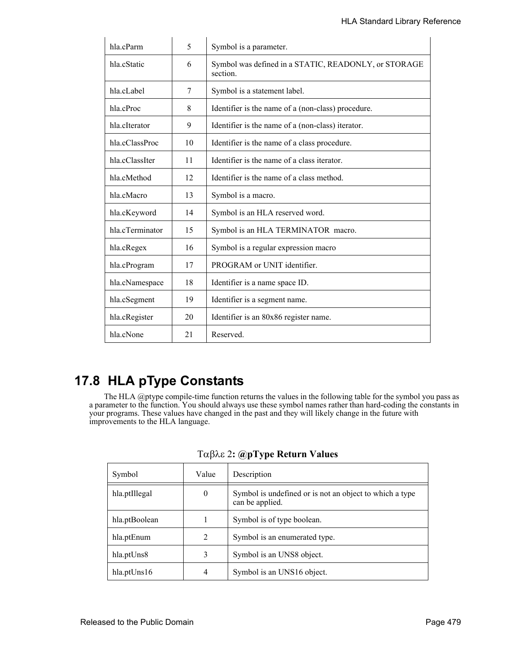| hla.cParm       | 5  | Symbol is a parameter.                                           |  |
|-----------------|----|------------------------------------------------------------------|--|
| hla.cStatic     | 6  | Symbol was defined in a STATIC, READONLY, or STORAGE<br>section. |  |
| hla.cLabel      | 7  | Symbol is a statement label.                                     |  |
| hla.cProc       | 8  | Identifier is the name of a (non-class) procedure.               |  |
| hla.cIterator   | 9  | Identifier is the name of a (non-class) iterator.                |  |
| hla.cClassProc  | 10 | Identifier is the name of a class procedure.                     |  |
| hla.cClassIter  | 11 | Identifier is the name of a class iterator.                      |  |
| hla.cMethod     | 12 | Identifier is the name of a class method.                        |  |
| hla.cMacro      | 13 | Symbol is a macro.                                               |  |
| hla.cKeyword    | 14 | Symbol is an HLA reserved word.                                  |  |
| hla.cTerminator | 15 | Symbol is an HLA TERMINATOR macro.                               |  |
| hla.cRegex      | 16 | Symbol is a regular expression macro                             |  |
| hla.cProgram    | 17 | PROGRAM or UNIT identifier.                                      |  |
| hla.cNamespace  | 18 | Identifier is a name space ID.                                   |  |
| hla.cSegment    | 19 | Identifier is a segment name.                                    |  |
| hla.cRegister   | 20 | Identifier is an 80x86 register name.                            |  |
| hla.cNone       | 21 | Reserved.                                                        |  |

# **17.8 HLA pType Constants**

The HLA @ptype compile-time function returns the values in the following table for the symbol you pass as a parameter to the function. You should always use these symbol names rather than hard-coding the constants in your programs. These values have changed in the past and they will likely change in the future with improvements to the HLA language.

| Symbol                | Value            | Description                                                                |
|-----------------------|------------------|----------------------------------------------------------------------------|
| hla.ptIllegal         | $\boldsymbol{0}$ | Symbol is undefined or is not an object to which a type<br>can be applied. |
| hla.ptBoolean         |                  | Symbol is of type boolean.                                                 |
| hla.ptEnum            | 2                | Symbol is an enumerated type.                                              |
| hla.ptUns8            | 3                | Symbol is an UNS8 object.                                                  |
| $h$ la.pt $U$ ns $16$ | 4                | Symbol is an UNS16 object.                                                 |

### **: @pType Return Values**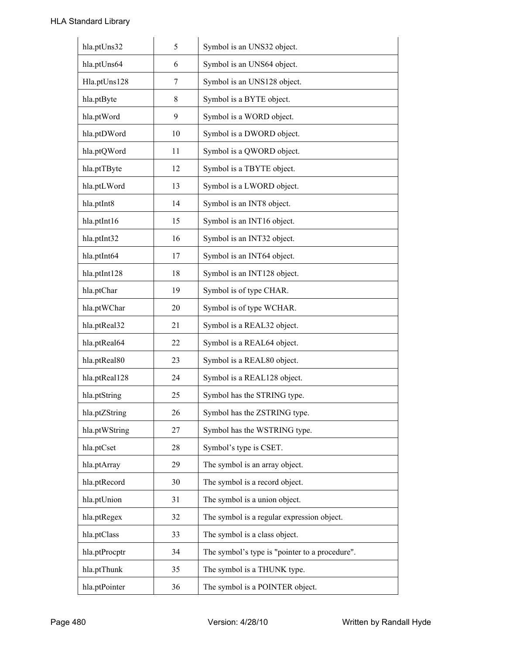| hla.ptUns32   | 5  | Symbol is an UNS32 object.                     |
|---------------|----|------------------------------------------------|
| hla.ptUns64   | 6  | Symbol is an UNS64 object.                     |
| Hla.ptUns128  | 7  | Symbol is an UNS128 object.                    |
| hla.ptByte    | 8  | Symbol is a BYTE object.                       |
| hla.ptWord    | 9  | Symbol is a WORD object.                       |
| hla.ptDWord   | 10 | Symbol is a DWORD object.                      |
| hla.ptQWord   | 11 | Symbol is a QWORD object.                      |
| hla.ptTByte   | 12 | Symbol is a TBYTE object.                      |
| hla.ptLWord   | 13 | Symbol is a LWORD object.                      |
| hla.ptInt8    | 14 | Symbol is an INT8 object.                      |
| hla.ptInt16   | 15 | Symbol is an INT16 object.                     |
| hla.ptInt32   | 16 | Symbol is an INT32 object.                     |
| hla.ptInt64   | 17 | Symbol is an INT64 object.                     |
| hla.ptInt128  | 18 | Symbol is an INT128 object.                    |
| hla.ptChar    | 19 | Symbol is of type CHAR.                        |
| hla.ptWChar   | 20 | Symbol is of type WCHAR.                       |
| hla.ptReal32  | 21 | Symbol is a REAL32 object.                     |
| hla.ptReal64  | 22 | Symbol is a REAL64 object.                     |
| hla.ptReal80  | 23 | Symbol is a REAL80 object.                     |
| hla.ptReal128 | 24 | Symbol is a REAL128 object.                    |
| hla.ptString  | 25 | Symbol has the STRING type.                    |
| hla.ptZString | 26 | Symbol has the ZSTRING type.                   |
| hla.ptWString | 27 | Symbol has the WSTRING type.                   |
| hla.ptCset    | 28 | Symbol's type is CSET.                         |
| hla.ptArray   | 29 | The symbol is an array object.                 |
| hla.ptRecord  | 30 | The symbol is a record object.                 |
| hla.ptUnion   | 31 | The symbol is a union object.                  |
| hla.ptRegex   | 32 | The symbol is a regular expression object.     |
| hla.ptClass   | 33 | The symbol is a class object.                  |
| hla.ptProcptr | 34 | The symbol's type is "pointer to a procedure". |
| hla.ptThunk   | 35 | The symbol is a THUNK type.                    |
| hla.ptPointer | 36 | The symbol is a POINTER object.                |
|               |    |                                                |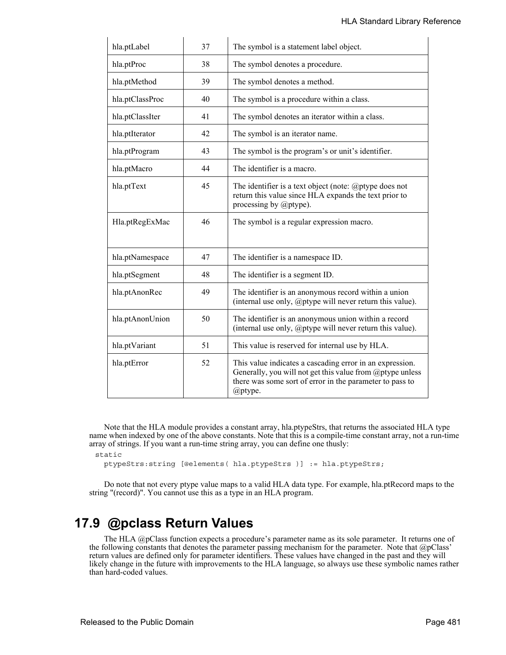| hla.ptLabel     | 37 | The symbol is a statement label object.                                                                                                                                                      |
|-----------------|----|----------------------------------------------------------------------------------------------------------------------------------------------------------------------------------------------|
| hla.ptProc      | 38 | The symbol denotes a procedure.                                                                                                                                                              |
| hla.ptMethod    | 39 | The symbol denotes a method.                                                                                                                                                                 |
| hla.ptClassProc | 40 | The symbol is a procedure within a class.                                                                                                                                                    |
| hla.ptClassIter | 41 | The symbol denotes an iterator within a class.                                                                                                                                               |
| hla.ptIterator  | 42 | The symbol is an iterator name.                                                                                                                                                              |
| hla.ptProgram   | 43 | The symbol is the program's or unit's identifier.                                                                                                                                            |
| hla.ptMacro     | 44 | The identifier is a macro.                                                                                                                                                                   |
| hla.ptText      | 45 | The identifier is a text object (note: $@$ ptype does not<br>return this value since HLA expands the text prior to<br>processing by @ptype).                                                 |
| Hla.ptRegExMac  | 46 | The symbol is a regular expression macro.                                                                                                                                                    |
| hla.ptNamespace | 47 | The identifier is a namespace ID.                                                                                                                                                            |
| hla.ptSegment   | 48 | The identifier is a segment ID.                                                                                                                                                              |
| hla.ptAnonRec   | 49 | The identifier is an anonymous record within a union<br>(internal use only, @ptype will never return this value).                                                                            |
| hla.ptAnonUnion | 50 | The identifier is an anonymous union within a record<br>(internal use only, $@$ ptype will never return this value).                                                                         |
| hla.ptVariant   | 51 | This value is reserved for internal use by HLA.                                                                                                                                              |
| hla.ptError     | 52 | This value indicates a cascading error in an expression.<br>Generally, you will not get this value from @ptype unless<br>there was some sort of error in the parameter to pass to<br>@ptype. |

Note that the HLA module provides a constant array, hla.ptypeStrs, that returns the associated HLA type name when indexed by one of the above constants. Note that this is a compile-time constant array, not a run-time array of strings. If you want a run-time string array, you can define one thusly:

static

ptypeStrs:string [@elements( hla.ptypeStrs )] := hla.ptypeStrs;

Do note that not every ptype value maps to a valid HLA data type. For example, hla.ptRecord maps to the string "(record)". You cannot use this as a type in an HLA program.

## **17.9 @pclass Return Values**

The HLA @pClass function expects a procedure's parameter name as its sole parameter. It returns one of the following constants that denotes the parameter passing mechanism for the parameter. Note that @pClass' return values are defined only for parameter identifiers. These values have changed in the past and they will likely change in the future with improvements to the HLA language, so always use these symbolic names rather than hard-coded values.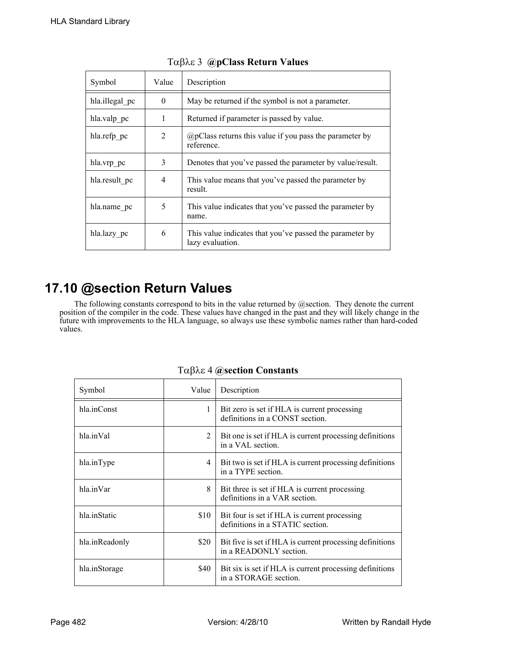| Symbol         | Value    | Description                                                                  |  |
|----------------|----------|------------------------------------------------------------------------------|--|
| hla.illegal pc | $\Omega$ | May be returned if the symbol is not a parameter.                            |  |
| hla.valp pc    | 1        | Returned if parameter is passed by value.                                    |  |
| hla.refp_pc    | 2        | $(a)$ pClass returns this value if you pass the parameter by<br>reference.   |  |
| hla.vrp pc     | 3        | Denotes that you've passed the parameter by value/result.                    |  |
| hla.result pc  | 4        | This value means that you've passed the parameter by<br>result.              |  |
| hla.name pc    | 5        | This value indicates that you've passed the parameter by<br>name.            |  |
| hla.lazy_pc    | 6        | This value indicates that you've passed the parameter by<br>lazy evaluation. |  |

### **@pClass Return Values**

# **17.10 @section Return Values**

The following constants correspond to bits in the value returned by @section. They denote the current position of the compiler in the code. These values have changed in the past and they will likely change in the future with improvements to the HLA language, so always use these symbolic names rather than hard-coded values.

| Symbol         | Value | Description                                                                        |
|----------------|-------|------------------------------------------------------------------------------------|
| hla.inConst    | 1     | Bit zero is set if HLA is current processing<br>definitions in a CONST section.    |
| hla.inVal      | 2     | Bit one is set if HLA is current processing definitions<br>in a VAL section.       |
| hla.inType     | 4     | Bit two is set if HLA is current processing definitions<br>in a TYPE section.      |
| hla.inVar      | 8     | Bit three is set if HLA is current processing<br>definitions in a VAR section.     |
| hla inStatic   | \$10  | Bit four is set if HLA is current processing<br>definitions in a STATIC section.   |
| hla.inReadonly | \$20  | Bit five is set if HLA is current processing definitions<br>in a READONLY section. |
| hla.inStorage  | \$40  | Bit six is set if HLA is current processing definitions<br>in a STORAGE section.   |

Tαβλε 4 @section Constants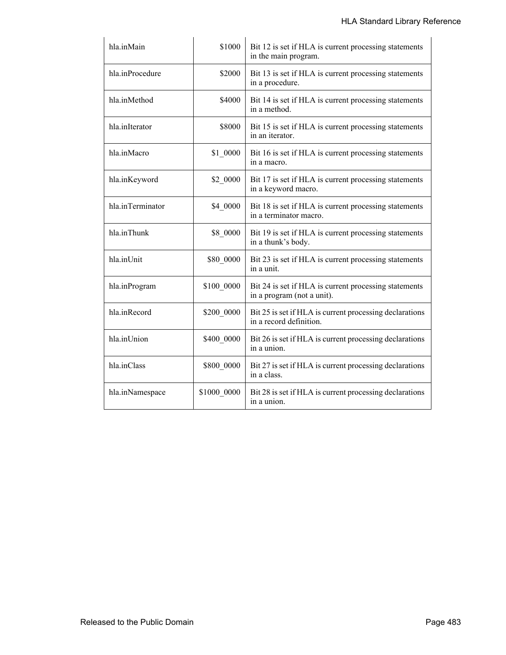| hla.inMain       | \$1000      | Bit 12 is set if HLA is current processing statements<br>in the main program.       |
|------------------|-------------|-------------------------------------------------------------------------------------|
| hla.inProcedure  | \$2000      | Bit 13 is set if HLA is current processing statements<br>in a procedure.            |
| hla.inMethod     | \$4000      | Bit 14 is set if HLA is current processing statements<br>in a method.               |
| hla.inIterator   | \$8000      | Bit 15 is set if HLA is current processing statements<br>in an iterator.            |
| hla.inMacro      | \$1 0000    | Bit 16 is set if HLA is current processing statements<br>in a macro.                |
| hla.inKeyword    | \$2 0000    | Bit 17 is set if HLA is current processing statements<br>in a keyword macro.        |
| hla.inTerminator | \$4 0000    | Bit 18 is set if HLA is current processing statements<br>in a terminator macro.     |
| hla.inThunk      | \$8_0000    | Bit 19 is set if HLA is current processing statements<br>in a thunk's body.         |
| hla.inUnit       | \$80 0000   | Bit 23 is set if HLA is current processing statements<br>in a unit.                 |
| hla.inProgram    | \$100 0000  | Bit 24 is set if HLA is current processing statements<br>in a program (not a unit). |
| hla.inRecord     | \$200_0000  | Bit 25 is set if HLA is current processing declarations<br>in a record definition.  |
| hla.inUnion      | \$400 0000  | Bit 26 is set if HLA is current processing declarations<br>in a union.              |
| hla.inClass      | \$800 0000  | Bit 27 is set if HLA is current processing declarations<br>in a class.              |
| hla.inNamespace  | \$1000 0000 | Bit 28 is set if HLA is current processing declarations<br>in a union.              |